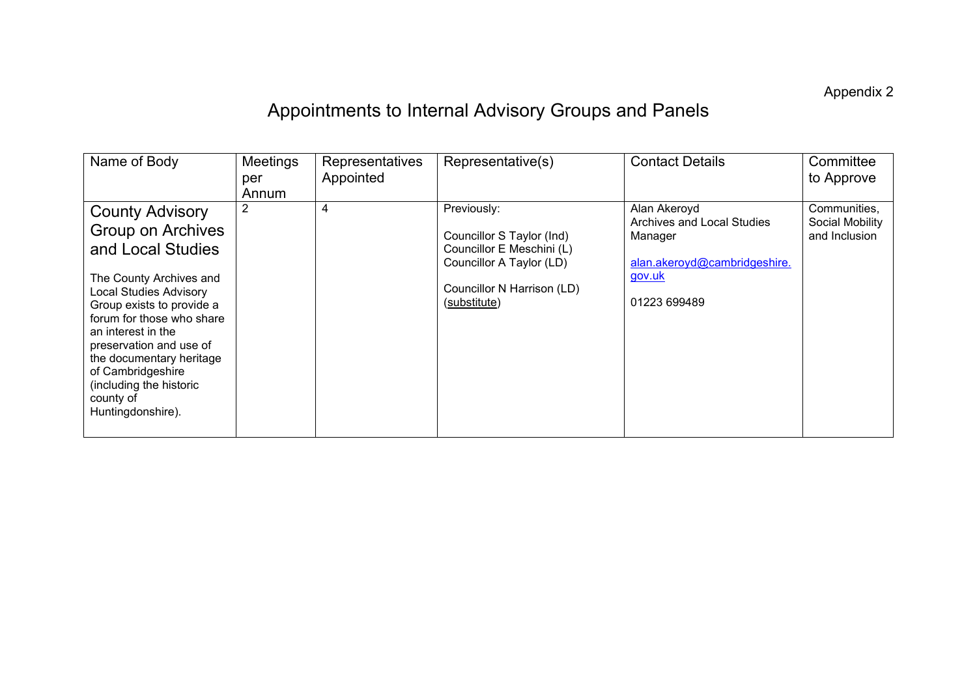Appendix 2

## Appointments to Internal Advisory Groups and Panels

| Name of Body                                                                                                                                                                                                                                                                                                                                          | Meetings<br>per<br>Annum | Representatives<br>Appointed | Representative(s)                                                                                                                               | <b>Contact Details</b>                                                                                          | Committee<br>to Approve                          |
|-------------------------------------------------------------------------------------------------------------------------------------------------------------------------------------------------------------------------------------------------------------------------------------------------------------------------------------------------------|--------------------------|------------------------------|-------------------------------------------------------------------------------------------------------------------------------------------------|-----------------------------------------------------------------------------------------------------------------|--------------------------------------------------|
| <b>County Advisory</b><br><b>Group on Archives</b><br>and Local Studies<br>The County Archives and<br>Local Studies Advisory<br>Group exists to provide a<br>forum for those who share<br>an interest in the<br>preservation and use of<br>the documentary heritage<br>of Cambridgeshire<br>(including the historic<br>county of<br>Huntingdonshire). | $\overline{2}$           | 4                            | Previously:<br>Councillor S Taylor (Ind)<br>Councillor E Meschini (L)<br>Councillor A Taylor (LD)<br>Councillor N Harrison (LD)<br>(substitute) | Alan Akeroyd<br>Archives and Local Studies<br>Manager<br>alan.akeroyd@cambridgeshire.<br>gov.uk<br>01223 699489 | Communities,<br>Social Mobility<br>and Inclusion |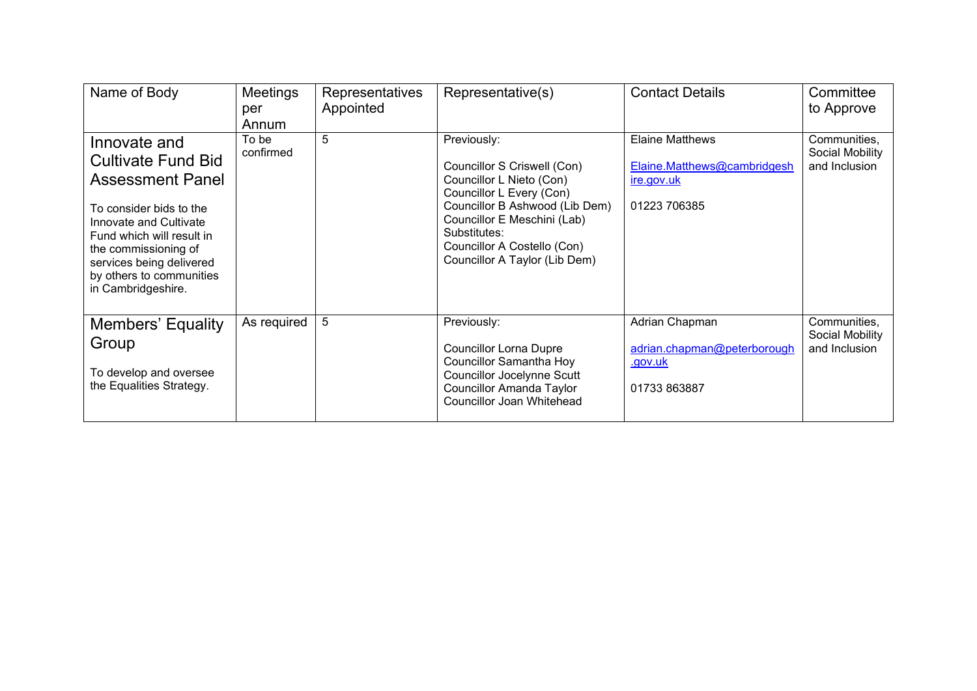| Name of Body                                                                                                                                                                                                                                          | Meetings<br>per<br>Annum | Representatives<br>Appointed | Representative(s)                                                                                                                                                                                                                                   | <b>Contact Details</b>                                                              | Committee<br>to Approve                          |
|-------------------------------------------------------------------------------------------------------------------------------------------------------------------------------------------------------------------------------------------------------|--------------------------|------------------------------|-----------------------------------------------------------------------------------------------------------------------------------------------------------------------------------------------------------------------------------------------------|-------------------------------------------------------------------------------------|--------------------------------------------------|
| Innovate and<br>Cultivate Fund Bid<br><b>Assessment Panel</b><br>To consider bids to the<br>Innovate and Cultivate<br>Fund which will result in<br>the commissioning of<br>services being delivered<br>by others to communities<br>in Cambridgeshire. | To be<br>confirmed       | 5                            | Previously:<br>Councillor S Criswell (Con)<br>Councillor L Nieto (Con)<br>Councillor L Every (Con)<br>Councillor B Ashwood (Lib Dem)<br>Councillor E Meschini (Lab)<br>Substitutes:<br>Councillor A Costello (Con)<br>Councillor A Taylor (Lib Dem) | <b>Elaine Matthews</b><br>Elaine.Matthews@cambridgesh<br>ire.gov.uk<br>01223 706385 | Communities,<br>Social Mobility<br>and Inclusion |
| <b>Members' Equality</b><br>Group<br>To develop and oversee<br>the Equalities Strategy.                                                                                                                                                               | As required              | 5                            | Previously:<br><b>Councillor Lorna Dupre</b><br><b>Councillor Samantha Hoy</b><br><b>Councillor Jocelynne Scutt</b><br><b>Councillor Amanda Taylor</b><br>Councillor Joan Whitehead                                                                 | Adrian Chapman<br>adrian.chapman@peterborough<br>.gov.uk<br>01733 863887            | Communities,<br>Social Mobility<br>and Inclusion |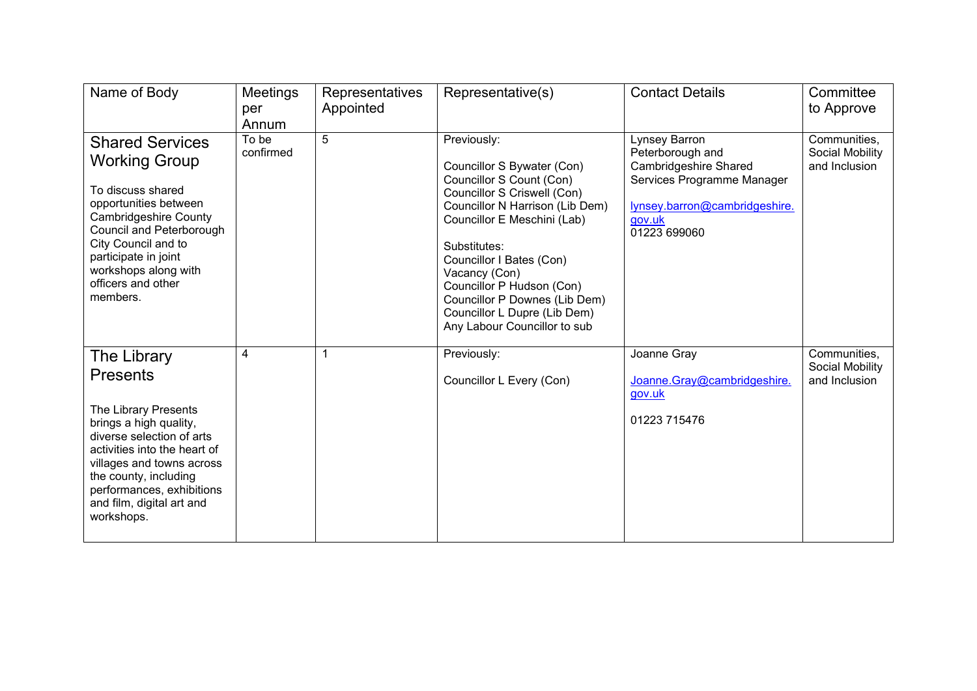| Name of Body                                                                                                                                                                                                                                                                | Meetings<br>per<br>Annum | Representatives<br>Appointed | Representative(s)                                                                                                                                                                                                                                                                                                                                                 | <b>Contact Details</b>                                                                                                                                     | Committee<br>to Approve                          |
|-----------------------------------------------------------------------------------------------------------------------------------------------------------------------------------------------------------------------------------------------------------------------------|--------------------------|------------------------------|-------------------------------------------------------------------------------------------------------------------------------------------------------------------------------------------------------------------------------------------------------------------------------------------------------------------------------------------------------------------|------------------------------------------------------------------------------------------------------------------------------------------------------------|--------------------------------------------------|
| <b>Shared Services</b><br><b>Working Group</b><br>To discuss shared<br>opportunities between<br><b>Cambridgeshire County</b><br>Council and Peterborough<br>City Council and to<br>participate in joint<br>workshops along with<br>officers and other<br>members.           | To be<br>confirmed       | 5                            | Previously:<br>Councillor S Bywater (Con)<br>Councillor S Count (Con)<br>Councillor S Criswell (Con)<br>Councillor N Harrison (Lib Dem)<br>Councillor E Meschini (Lab)<br>Substitutes:<br>Councillor I Bates (Con)<br>Vacancy (Con)<br>Councillor P Hudson (Con)<br>Councillor P Downes (Lib Dem)<br>Councillor L Dupre (Lib Dem)<br>Any Labour Councillor to sub | Lynsey Barron<br>Peterborough and<br><b>Cambridgeshire Shared</b><br>Services Programme Manager<br>lynsey.barron@cambridgeshire.<br>gov.uk<br>01223 699060 | Communities,<br>Social Mobility<br>and Inclusion |
| The Library<br><b>Presents</b><br>The Library Presents<br>brings a high quality,<br>diverse selection of arts<br>activities into the heart of<br>villages and towns across<br>the county, including<br>performances, exhibitions<br>and film, digital art and<br>workshops. | 4                        | 1                            | Previously:<br>Councillor L Every (Con)                                                                                                                                                                                                                                                                                                                           | Joanne Gray<br>Joanne.Gray@cambridgeshire.<br>gov.uk<br>01223 715476                                                                                       | Communities,<br>Social Mobility<br>and Inclusion |